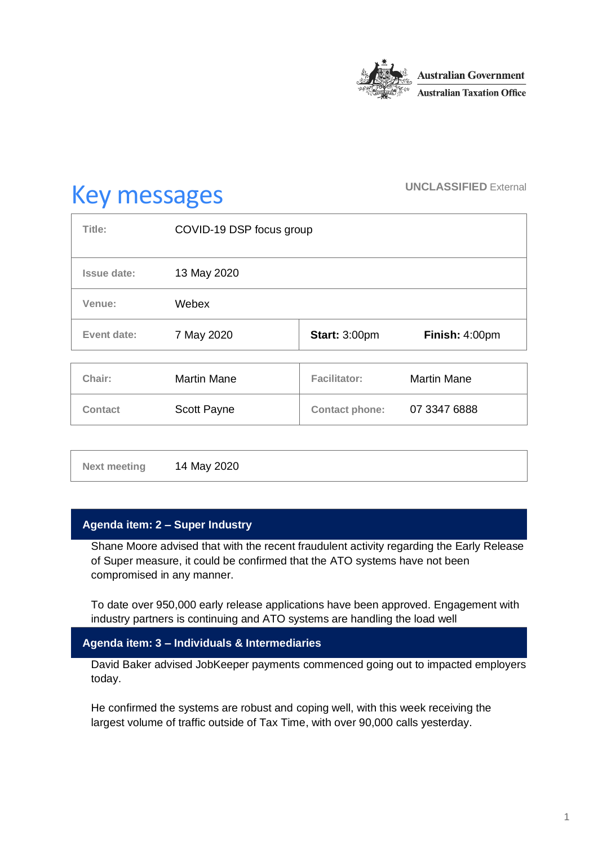

# Key messages **UNCLASSIFIED External**

| Title:         | COVID-19 DSP focus group |                       |                    |
|----------------|--------------------------|-----------------------|--------------------|
| Issue date:    | 13 May 2020              |                       |                    |
| Venue:         | Webex                    |                       |                    |
| Event date:    | 7 May 2020               | <b>Start: 3:00pm</b>  | Finish: 4:00pm     |
|                |                          |                       |                    |
| Chair:         | <b>Martin Mane</b>       | <b>Facilitator:</b>   | <b>Martin Mane</b> |
| <b>Contact</b> | Scott Payne              | <b>Contact phone:</b> | 07 3347 6888       |
|                |                          |                       |                    |

**Next meeting** 14 May 2020

# **Agenda item: 2 – Super Industry**

Shane Moore advised that with the recent fraudulent activity regarding the Early Release of Super measure, it could be confirmed that the ATO systems have not been compromised in any manner.

To date over 950,000 early release applications have been approved. Engagement with industry partners is continuing and ATO systems are handling the load well

## **Agenda item: 3 – Individuals & Intermediaries**

David Baker advised JobKeeper payments commenced going out to impacted employers today.

He confirmed the systems are robust and coping well, with this week receiving the largest volume of traffic outside of Tax Time, with over 90,000 calls yesterday.